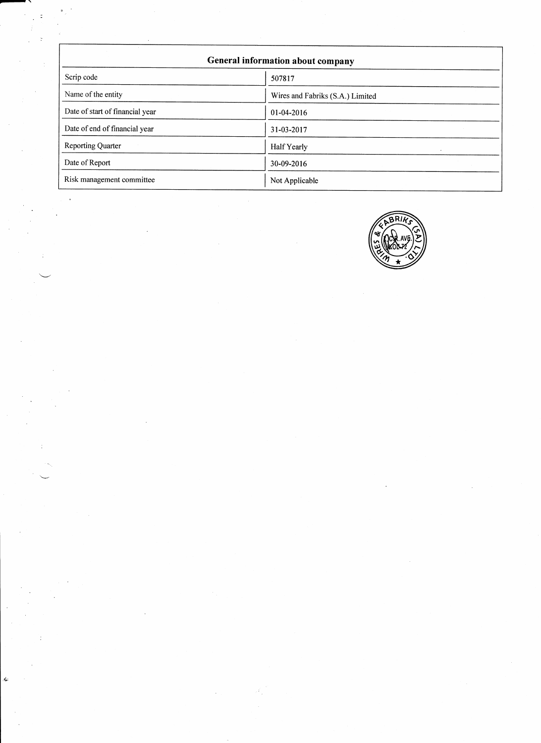| General information about company |                                  |  |
|-----------------------------------|----------------------------------|--|
| Scrip code                        | 507817                           |  |
| Name of the entity                | Wires and Fabriks (S.A.) Limited |  |
| Date of start of financial year   | 01-04-2016                       |  |
| Date of end of financial year     | 31-03-2017                       |  |
| <b>Reporting Quarter</b>          | Half Yearly                      |  |
| Date of Report                    | 30-09-2016                       |  |
| Risk management committee         | Not Applicable                   |  |

,-\

ś.

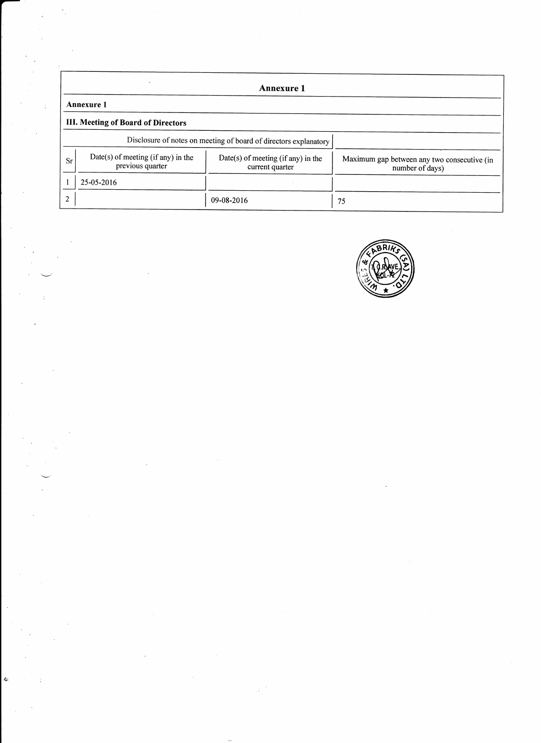|                                                                     | <b>Annexure 1</b>                                                |                                                       |                                                                |  |  |
|---------------------------------------------------------------------|------------------------------------------------------------------|-------------------------------------------------------|----------------------------------------------------------------|--|--|
|                                                                     | <b>Annexure 1</b>                                                |                                                       |                                                                |  |  |
|                                                                     | III. Meeting of Board of Directors                               |                                                       |                                                                |  |  |
|                                                                     | Disclosure of notes on meeting of board of directors explanatory |                                                       |                                                                |  |  |
| Date(s) of meeting (if any) in the<br><b>Sr</b><br>previous quarter |                                                                  | Date(s) of meeting (if any) in the<br>current quarter | Maximum gap between any two consecutive (in<br>number of days) |  |  |
|                                                                     | 25-05-2016                                                       |                                                       |                                                                |  |  |
| 2                                                                   |                                                                  | $09 - 08 - 2016$                                      | 75                                                             |  |  |

 $\sim$ 

:

:

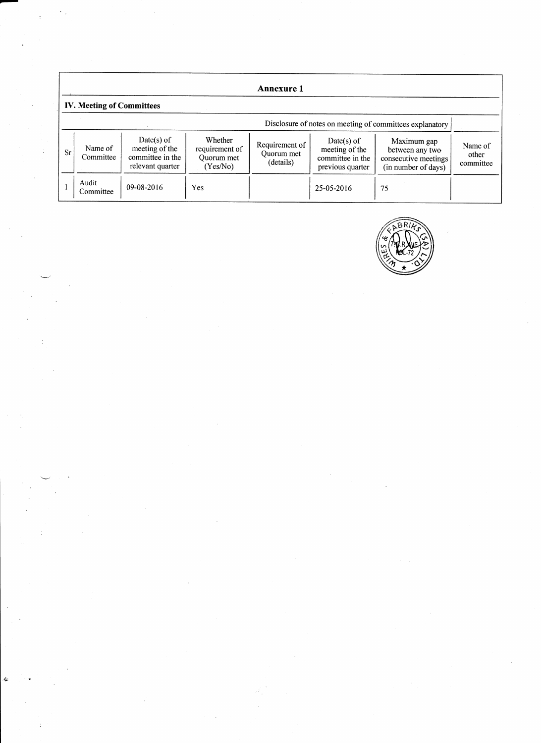|           | <b>Annexure 1</b>                                        |                                                                      |                                                     |                                           |                                                                        |                                                                               |                               |
|-----------|----------------------------------------------------------|----------------------------------------------------------------------|-----------------------------------------------------|-------------------------------------------|------------------------------------------------------------------------|-------------------------------------------------------------------------------|-------------------------------|
|           | <b>IV. Meeting of Committees</b>                         |                                                                      |                                                     |                                           |                                                                        |                                                                               |                               |
|           | Disclosure of notes on meeting of committees explanatory |                                                                      |                                                     |                                           |                                                                        |                                                                               |                               |
| <b>Sr</b> | Name of<br>Committee                                     | Date(s) of<br>meeting of the<br>committee in the<br>relevant quarter | Whether<br>requirement of<br>Quorum met<br>(Yes/No) | Requirement of<br>Quorum met<br>(details) | $Date(s)$ of<br>meeting of the<br>committee in the<br>previous quarter | Maximum gap<br>between any two<br>consecutive meetings<br>(in number of days) | Name of<br>other<br>committee |
|           | Audit<br>Committee                                       | 09-08-2016                                                           | Yes                                                 |                                           | 25-05-2016                                                             | 75                                                                            |                               |

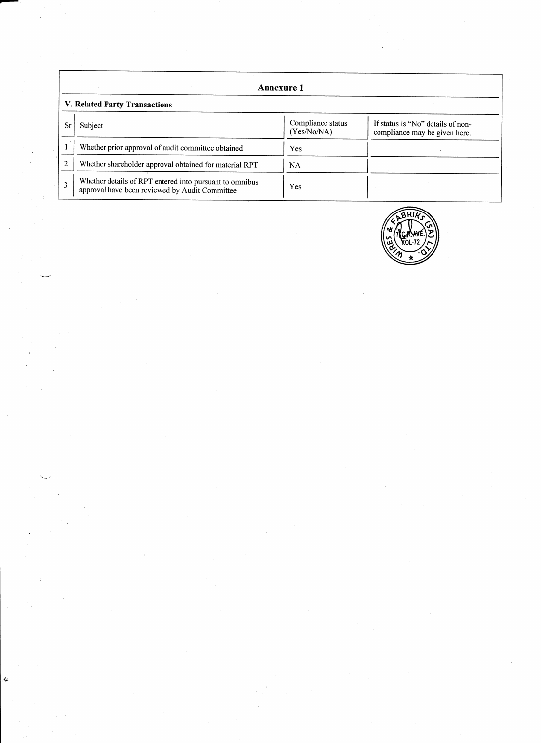|                               | <b>Annexure 1</b>                                                                                         |                                  |                                                                    |  |
|-------------------------------|-----------------------------------------------------------------------------------------------------------|----------------------------------|--------------------------------------------------------------------|--|
| V. Related Party Transactions |                                                                                                           |                                  |                                                                    |  |
| Sr                            | Subject                                                                                                   | Compliance status<br>(Yes/No/NA) | If status is "No" details of non-<br>compliance may be given here. |  |
|                               | Whether prior approval of audit committee obtained                                                        | Yes                              |                                                                    |  |
|                               | Whether shareholder approval obtained for material RPT                                                    | NA.                              |                                                                    |  |
| 3                             | Whether details of RPT entered into pursuant to omnibus<br>approval have been reviewed by Audit Committee | Yes                              |                                                                    |  |

Ġ

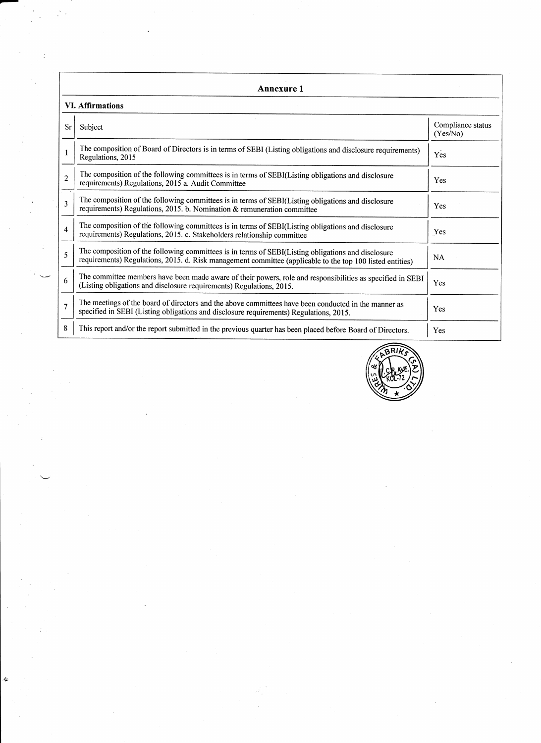|                          | <b>Annexure 1</b>                                                                                                                                                                                               |                               |  |  |  |  |
|--------------------------|-----------------------------------------------------------------------------------------------------------------------------------------------------------------------------------------------------------------|-------------------------------|--|--|--|--|
|                          | <b>VI.</b> Affirmations                                                                                                                                                                                         |                               |  |  |  |  |
| <b>Sr</b>                | Subject                                                                                                                                                                                                         | Compliance status<br>(Yes/No) |  |  |  |  |
|                          | The composition of Board of Directors is in terms of SEBI (Listing obligations and disclosure requirements)<br>Regulations, 2015                                                                                | Yes                           |  |  |  |  |
| $\overline{\mathcal{L}}$ | The composition of the following committees is in terms of SEBI(Listing obligations and disclosure<br>requirements) Regulations, 2015 a. Audit Committee                                                        | <b>Yes</b>                    |  |  |  |  |
| 3                        | The composition of the following committees is in terms of SEBI(Listing obligations and disclosure<br>requirements) Regulations, 2015. b. Nomination & remuneration committee                                   | <b>Yes</b>                    |  |  |  |  |
| $\overline{4}$           | The composition of the following committees is in terms of SEBI(Listing obligations and disclosure<br>requirements) Regulations, 2015. c. Stakeholders relationship committee                                   | Yes                           |  |  |  |  |
| $\overline{\phantom{0}}$ | The composition of the following committees is in terms of SEBI(Listing obligations and disclosure<br>requirements) Regulations, 2015. d. Risk management committee (applicable to the top 100 listed entities) | <b>NA</b>                     |  |  |  |  |
| 6                        | The committee members have been made aware of their powers, role and responsibilities as specified in SEBI<br>(Listing obligations and disclosure requirements) Regulations, 2015.                              | Yes                           |  |  |  |  |
| $\overline{7}$           | The meetings of the board of directors and the above committees have been conducted in the manner as<br>specified in SEBI (Listing obligations and disclosure requirements) Regulations, 2015.                  | Yes                           |  |  |  |  |
| 8                        | This report and/or the report submitted in the previous quarter has been placed before Board of Directors.                                                                                                      | Yes                           |  |  |  |  |



đ.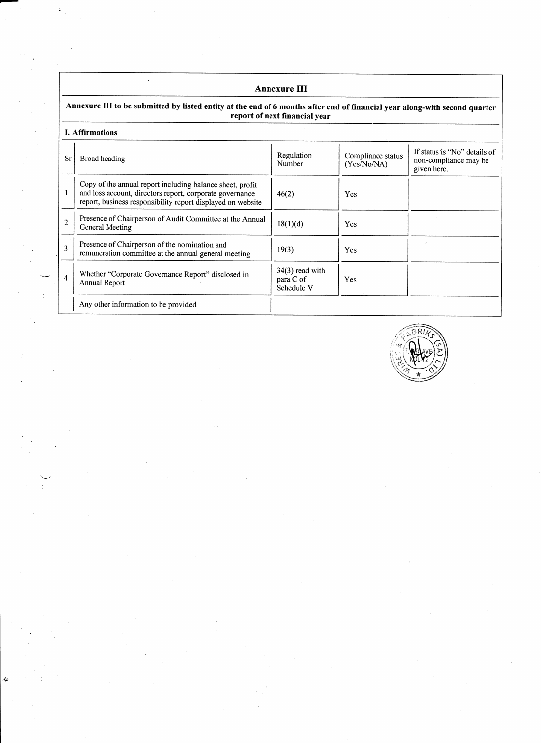## $\ddot{\phantom{a}}$ Annexure III Annexure III to be submitted by listed entity at the end of 6 months after end of financial year along-with second quarter report of next financial year L Affirmations If status is "No" details of Regulation Compliance status **Sr** Broad heading non-compliance may be Number  $(Yes\hat{N}o/NA)$ given here. Copy of the annual report including balance sheet, profit  $\mathbf{1}$ and loss account, directors report, corporate governance  $46(2)$ Yes report, business responsibility report displayed on website Presence of Chairperson of Audit Committee at the Annual  $\frac{2}{3}$  $18(1)(d)$ Yes General Meeting Presence of Chairperson of the nomination and  $19(3)$ Yes remuneration committee at the annual general meeting 34(3) read with Whether "Corporate Governance Report" disclosed in  $\overline{4}$ para C of Yes Annual Report Schedule V Any other information to be provided

 $\ddot{\phantom{0}}$ 

 $\pm$ 

k.